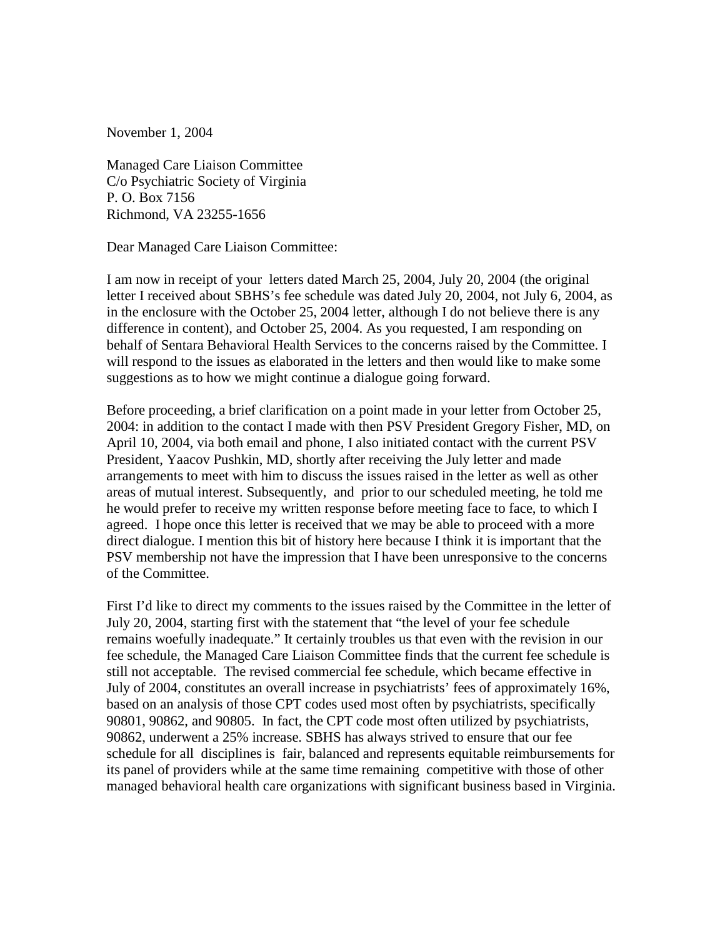November 1, <sup>2004</sup>

Managed Care Liaison Committee Managed Care Liaison Committee<br>C/o Psychiatric Society of Virginia C/o Psychiatric Society of Virginia<br>P O Box 7156 P. O. Box <sup>7156</sup> Richmond, VA 23255-1656

Dear Managed Care Liaison Committee:

I am now in receipt of your letters dated March 25, 2004, July 20, 2004 (the original<br>letter I received about SBHS's fee schedule was dated July 20, 2004, not July 6, 2004 letter <sup>I</sup> received about SBHS's fee schedule was dated July 20, 2004, not July 6, 2004, as in the enclosure with the October 25, <sup>2004</sup> letter, although <sup>I</sup> do not believe there is any difference in content), and October 25, 2004. As you requested, <sup>I</sup> am responding on behalf of Sentara Behavioral Health Services to the concerns raised by the Committee. <sup>I</sup> will respond to the issues as elaborated in the letters and then would like to make some suggestions as to how we might continue <sup>a</sup> dialogue going forward.

Before proceeding, a brief clarification on a point made in your letter from October 25,<br>2004: in addition to the contact I made with then PSV President Gregory Fisher, MD, or 2004: in addition to the contact <sup>I</sup> made with then PSV President Gregory Fisher, MD, on April 10, 2004, via both email and phone, <sup>I</sup> also initiated contact with the current PSV President, Yaacov Pushkin, MD, shortly after receiving the July letter and made arrangements to meet with him to discuss the issues raised in the letter as well as other areas of mutual interest. Subsequently, and prior to our scheduled meeting, he told me he would prefer to receive my written response before meeting face to face, to which <sup>I</sup> agreed. <sup>I</sup> hope once this letter is received that we may be able to proceed with <sup>a</sup> more direct dialogue. <sup>I</sup> mention this bit of history here because <sup>I</sup> think it is important that the PSV membership not have the impression that <sup>I</sup> have been unresponsive to the concerns of the Committee.

First I'd like to direct my comments to the issues raised by the Committee in the letter of Iuly 20, 2004, starting first with the statement that "the level of your fee schedule" July 20, 2004, starting first with the statement that "the level of your fee schedule remains woefully inadequate." It certainly troubles us that even with the revision in our fee schedule, the Managed Care Liaison Committee finds that the current fee schedule is still not acceptable. The revised commercial fee schedule, which became effective in July of 2004, constitutes an overall increase in psychiatrists' fees of approximately 16%, based on an analysis of those CPT codes used most often by psychiatrists, specifically 90801, 90862, and 90805. In fact, the CPT code most often utilized by psychiatrists, 90862, underwent <sup>a</sup> 25% increase. SBHS has always strived to ensure that our fee schedule for all disciplines is fair, balanced and represents equitable reimbursements for its panel of providers while at the same time remaining competitive with those of other managed behavioral health care organizations with significant business based in Virginia.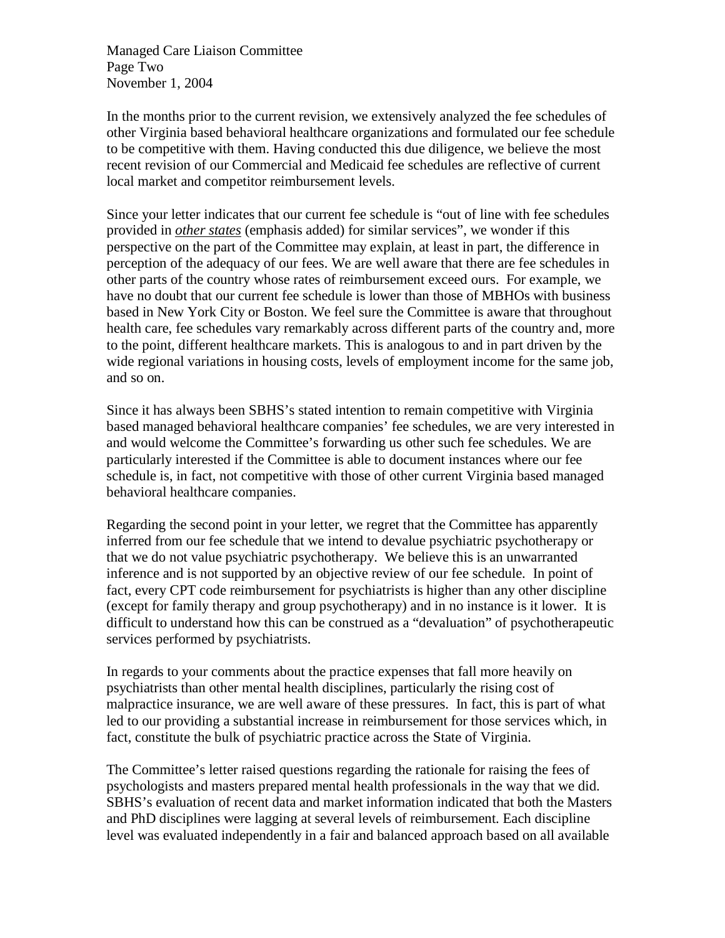Managed Care Liaison Committee Page Two November 1, <sup>2004</sup>

In the months prior to the current revision, we extensively analyzed the fee schedules of other Virginia based behavioral healthcare organizations and formulated our fee schedule other Virginia based behavioral healthcare organizations and formulated our fee schedule to be competitive with them. Having conducted this due diligence, we believe the most recent revision of our Commercial and Medicaid fee schedules are reflective of current local market and competitor reimbursement levels.

Since your letter indicates that our current fee schedule is "out of line with fee schedules<br>provided in *other states* (emphasis added) for similar services" we wonder if this provided in *other states* (emphasis added) for similar services", we wonder if this perspective on the part of the Committee may explain, at least in part, the difference in perception of the adequacy of our fees. We are well aware that there are fee schedules in other parts of the country whose rates of reimbursement exceed ours. For example, we have no doubt that our current fee schedule is lower than those of MBHOs with business based in New York City or Boston. We feel sure the Committee is aware that throughout health care, fee schedules vary remarkably across different parts of the country and, more to the point, different healthcare markets. This is analogous to and in part driven by the wide regional variations in housing costs, levels of employment income for the same job, and so on.

Since it has always been SBHS's stated intention to remain competitive with Virginia based managed behavioral healthcare companies' fee schedules, we are very interested in and would welcome the Committee's forwarding us other such fee schedules. We are particularly interested if the Committee is able to document instances where our fee schedule is, in fact, not competitive with those of other current Virginia based managed behavioral healthcare companies.

Regarding the second point in your letter, we regret that the Committee has apparently inferred from our fee schedule that we intend to devalue psychiatric psychotherany or inferred from our fee schedule that we intend to devalue psychiatric psychotherapy or that we do not value psychiatric psychotherapy. We believe this is an unwarranted inference and is not supported by an objective review of our fee schedule. In point of fact, every CPT code reimbursement for psychiatrists is higher than any other discipline (except for family therapy and group psychotherapy) and in no instance is it lower. It is difficult to understand how this can be construed as <sup>a</sup> "devaluation" of psychotherapeutic services performed by psychiatrists.

In regards to your comments about the practice expenses that fall more heavily on provehiatrists than other mental health disciplines, particularly the rising cost of psychiatrists than other mental health disciplines, particularly the rising cost of malpractice insurance, we are well aware of these pressures. In fact, this is part of what led to our providing <sup>a</sup> substantial increase in reimbursement for those services which, in fact, constitute the bulk of psychiatric practice across the State of Virginia.

The Committee's letter raised questions regarding the rationale for raising the fees of psychologists and masters prepared mental health professionals in the way that we did psychologists and masters prepared mental health professionals in the way that we did. SBHS's evaluation of recent data and market information indicated that both the Masters and PhD disciplines were lagging at several levels of reimbursement. Each discipline level was evaluated independently in <sup>a</sup> fair and balanced approach based on all available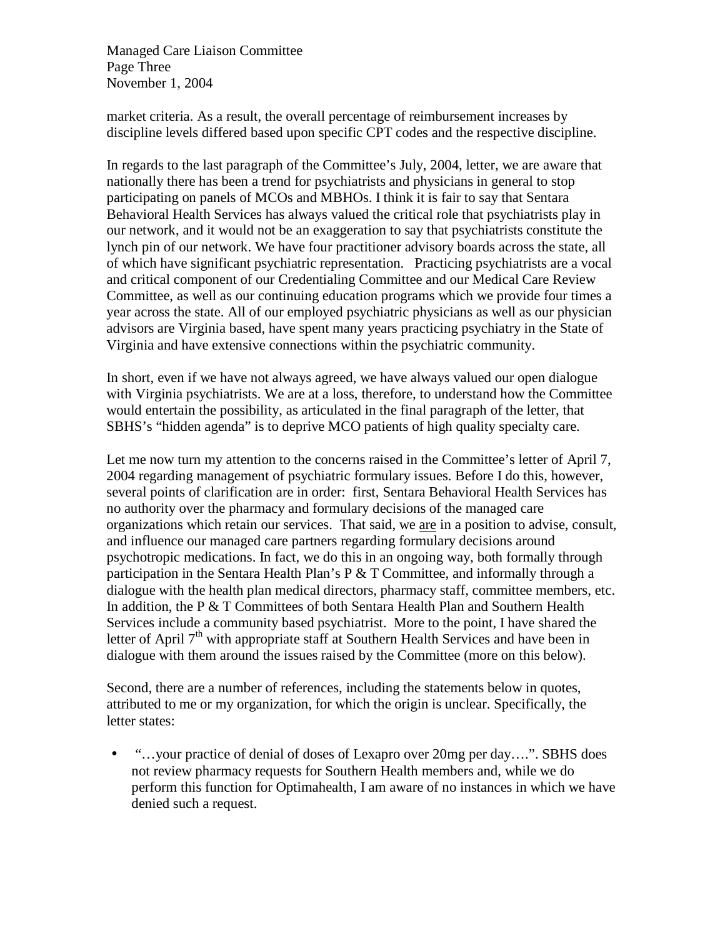Managed Care Liaison Committee Page Three<br>November 1 November 1, <sup>2004</sup>

market criteria. As a result, the overall percentage of reimbursement increases by discipline levels differed based upon specific CPT codes and the respective disciple discipline levels differed based upon specific CPT codes and the respective discipline.

In regards to the last paragraph of the Committee's July, 2004, letter, we are aware that nationally there has been a trend for psychiatrists and physicians in general to stop nationally there has been <sup>a</sup> trend for psychiatrists and physicians in general to stop participating on panels of MCOs and MBHOs. <sup>I</sup> think it is fair to say that Sentara Behavioral Health Services has always valued the critical role that psychiatrists play in our network, and it would not be an exaggeration to say that psychiatrists constitute the lynch pin of our network. We have four practitioner advisory boards across the state, all of which have significant psychiatric representation. Practicing psychiatrists are <sup>a</sup> vocal and critical component of our Credentialing Committee and our Medical Care Review Committee, as well as our continuing education programs which we provide four times <sup>a</sup> year across the state. All of our employed psychiatric physicians as well as our physician advisors are Virginia based, have spent many years practicing psychiatry in the State of Virginia and have extensive connections within the psychiatric community.

In short, even if we have not always agreed, we have always valued our open dialogue<br>with Virginia psychiatrists. We are at a loss, therefore, to understand how the Committe with Virginia psychiatrists. We are at <sup>a</sup> loss, therefore, to understand how the Committee would entertain the possibility, as articulated in the final paragraph of the letter, that SBHS's "hidden agenda" is to deprive MCO patients of high quality specialty care.

Let me now turn my attention to the concerns raised in the Committee's letter of April 7,<br>2004 regarding management of psychiatric formulary issues. Before I do this however <sup>2004</sup> regarding management of psychiatric formulary issues. Before <sup>I</sup> do this, however, several points of clarification are in order: first, Sentara Behavioral Health Services has no authority over the pharmacy and formulary decisions of the managed care organizations which retain our services. That said, we are in <sup>a</sup> position to advise, consult, and influence our managed care partners regarding formulary decisions around psychotropic medications. In fact, we do this in an ongoing way, both formally through participation in the Sentara Health Plan's <sup>P</sup> & <sup>T</sup> Committee, and informally through <sup>a</sup> dialogue with the health plan medical directors, pharmacy staff, committee members, etc. In addition, the P  $&$  T Committees of both Sentara Health Plan and Southern Health Services include a community based psychiatrist. More to the point, I have shared the Services include a community based psychiatrist. More to the point, I have shared the letter of April 7<sup>th</sup> with appropriate staff at Southern Health Services and have been in letter of April  $7<sup>th</sup>$  with appropriate staff at Southern Health Services and have been in<br>dialogue with them around the issues raised by the Committee (more on this below) dialogue with them around the issues raised by the Committee (more on this below).

Second, there are a number of references, including the statements below in quotes, attributed to me or my organization for which the origin is unclear. Specifically, the attributed to me or my organization, for which the origin is unclear. Specifically, the letter states:

 $\bullet$ • "…your practice of denial of doses of Lexapro over 20mg per day….". SBHS does not review pharmacy requests for Southern Health members and, while we do perform this function for Optimahealth, <sup>I</sup> am aware of no instances in which we have denied such <sup>a</sup> request.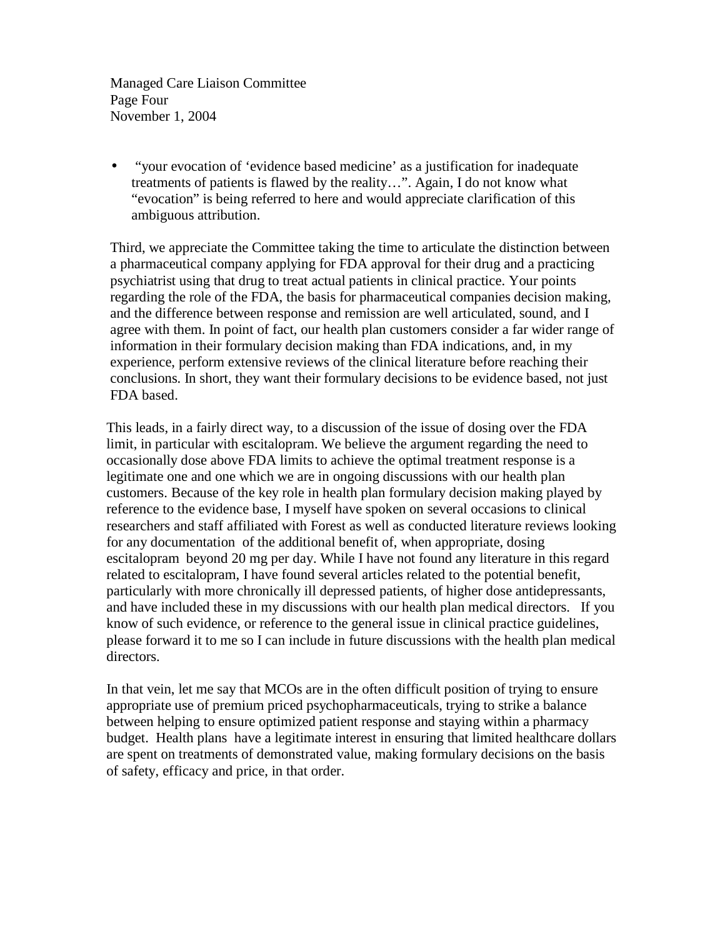Managed Care Liaison Committee<br>Page Four Page Four November 1, <sup>2004</sup>

• "your evocation of 'evidence based medicine' as a justification for inadequate treatments of patients is flawed by the reality "Again I do not know what treatments of patients is flawed by the reality…". Again, <sup>I</sup> do not know what "evocation" is being referred to here and would appreciate clarification of this ambiguous attribution.

Third, we appreciate the Committee taking the time to articulate the distinction between<br>a pharmaceutical company applying for FDA approval for their drug and a practicing <sup>a</sup> pharmaceutical company applying for FDA approval for their drug and <sup>a</sup> practicing psychiatrist using that drug to treat actual patients in clinical practice. Your points regarding the role of the FDA, the basis for pharmaceutical companies decision making, and the difference between response and remission are well articulated, sound, and <sup>I</sup> agree with them. In point of fact, our health plan customers consider <sup>a</sup> far wider range of information in their formulary decision making than FDA indications, and, in my experience, perform extensive reviews of the clinical literature before reaching their conclusions. In short, they want their formulary decisions to be evidence based, not just FDA based.

This leads, in a fairly direct way, to a discussion of the issue of dosing over the FDA<br>limit in particular with escitaloptam. We believe the argument regarding the need to limit, in particular with escitalopram. We believe the argument regarding the need to occasionally dose above FDA limits to achieve the optimal treatment response is <sup>a</sup> legitimate one and one which we are in ongoing discussions with our health plan customers. Because of the key role in health plan formulary decision making played by reference to the evidence base, <sup>I</sup> myself have spoken on several occasions to clinical researchers and staff affiliated with Forest as well as conducted literature reviews looking for any documentation of the additional benefit of, when appropriate, dosing escitalopram beyond <sup>20</sup> mg per day. While <sup>I</sup> have not found any literature in this regard related to escitalopram, <sup>I</sup> have found several articles related to the potential benefit, particularly with more chronically ill depressed patients, of higher dose antidepressants, and have included these in my discussions with our health plan medical directors. If you know of such evidence, or reference to the general issue in clinical practice guidelines, please forward it to me so <sup>I</sup> can include in future discussions with the health plan medical directors.

In that vein, let me say that MCOs are in the often difficult position of trying to ensure<br>appropriate use of premium priced psychopharmaceuticals, trying to strike a balance appropriate use of premium priced psychopharmaceuticals, trying to strike <sup>a</sup> balance between helping to ensure optimized patient response and staying within <sup>a</sup> pharmacy budget. Health plans have <sup>a</sup> legitimate interest in ensuring that limited healthcare dollars are spent on treatments of demonstrated value*,* making formulary decisions on the basis of safety, efficacy and price, in that order.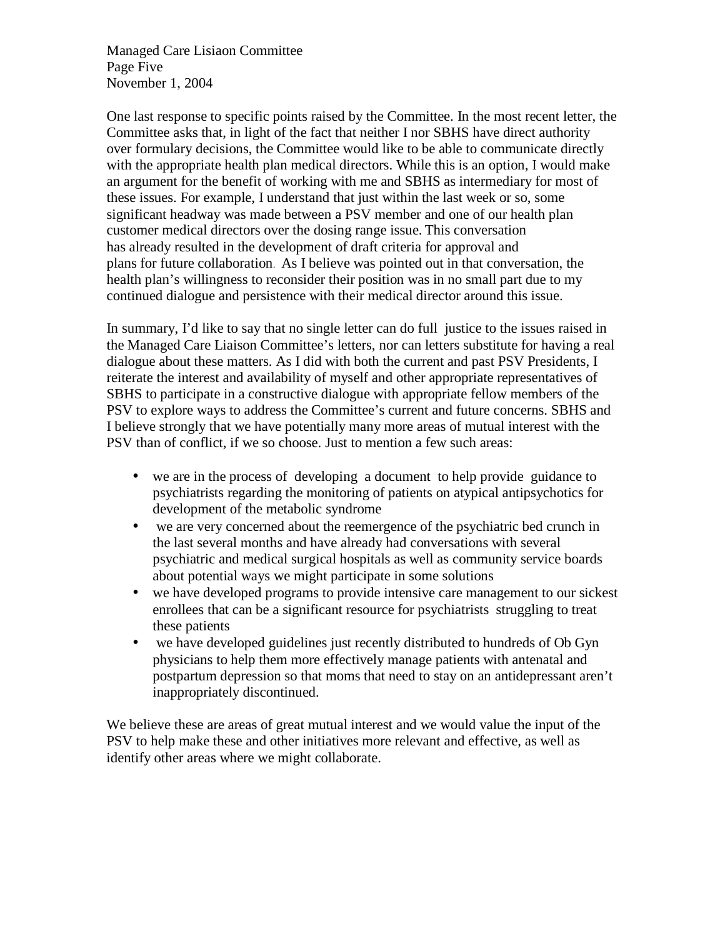Managed Care Lisiaon Committee Page Five November 1, <sup>2004</sup>

One last response to specific points raised by the Committee. In the most recent letter, the Committee asks that in light of the fact that neither I nor SBHS have direct authority Committee asks that, in light of the fact that neither <sup>I</sup> nor SBHS have direct authority over formulary decisions, the Committee would like to be able to communicate directly with the appropriate health plan medical directors. While this is an option, <sup>I</sup> would make an argument for the benefit of working with me and SBHS as intermediary for most of these issues. For example, <sup>I</sup> understand that just within the last week or so, some significant headway was made between <sup>a</sup> PSV member and one of our health plan customer medical directors over the dosing range issue. This conversation has already resulted in the development of draft criteria for approval and plans for future collaboration. As <sup>I</sup> believe was pointed out in that conversation, the health plan's willingness to reconsider their position was in no small part due to my continued dialogue and persistence with their medical director around this issue.

In summary, I'd like to say that no single letter can do full justice to the issues raised in<br>the Managed Care Liaison Committee's letters, nor can letters substitute for having a rea the Managed Care Liaison Committee's letters, nor can letters substitute for having <sup>a</sup> real dialogue about these matters. As <sup>I</sup> did with both the current and past PSV Presidents, <sup>I</sup> reiterate the interest and availability of myself and other appropriate representatives of SBHS to participate in <sup>a</sup> constructive dialogue with appropriate fellow members of the PSV to explore ways to address the Committee's current and future concerns. SBHS and <sup>I</sup> believe strongly that we have potentially many more areas of mutual interest with the PSV than of conflict, if we so choose. Just to mention <sup>a</sup> few such areas:

- we are in the process of developing <sup>a</sup> document to help provide guidance to psychiatrists regarding the monitoring of patients on atypical antipsychotics for development of the metabolic syndrome
- we are very concerned about the reemergence of the psychiatric bed crunch in the last several months and have already had conversations with several psychiatric and medical surgical hospitals as well as community service boards about potential ways we might participate in some solutions
- we have developed programs to provide intensive care management to our sickest enrollees that can be <sup>a</sup> significant resource for psychiatrists struggling to treat these patients
- we have developed guidelines just recently distributed to hundreds of Ob Gyn physicians to help them more effectively manage patients with antenatal and physicians to help them more effectively manage patients with antenatal and<br>postpartum depression so that moms that need to stay on an antidepressant are postpartum depression so that moms that need to stay on an antidepressant aren't<br>inappropriately discontinued inappropriately discontinued.

We believe these are areas of great mutual interest and we would value the input of the PSV to belp make these and other initiatives more relevant and effective as well as PSV to help make these and other initiatives more relevant and effective, as well as identify other areas where we might collaborate.